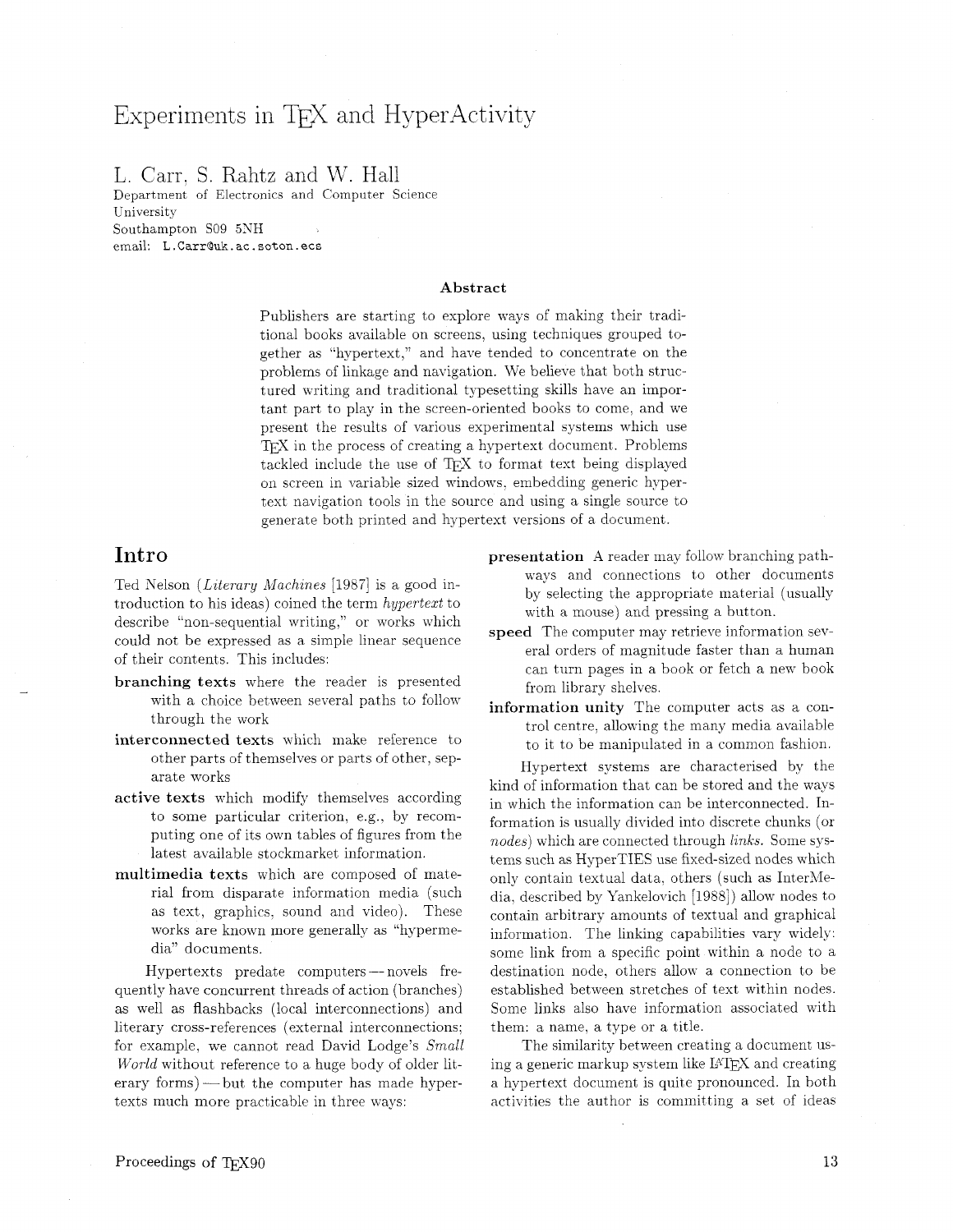# Experiments in TFX and HyperActivity

## L. Carr. S. Rahtz and W. Hall

Department of Electronics and Computer Science University Southampton SO9 5NH email: **L** . **CarrQuk.** ac . **soton. ecs** 

#### Abstract

Publishers are starting to explore ways of making their traditional books available on screens, using techniques grouped together as "hypertext," and have tended to concentrate on the problems of linkage and navigation. We believe that both structured writing and traditional typesetting skills have an important part to play in the screen-oriented books to come. and we present the results of various experimental systems which use TEX in the process of creating a hypertext document. Problems tackled include the use of TFX to format text being displayed on screen in variable sized windows. embedding generic hypertext navigation tools in the source and using a single source to generate both printed and hypertext versions of a document.

## Intro

Ted Nelson (*Literary Machines* [1987] is a good introduction to his ideas) coined the term hypertext to describe "non-sequential writing," or works which could not be expressed as a simple linear sequence of their contents. This includes:

- branching texts where the reader is presented with a choice between several paths to follow through the work
- interconnected texts which make reference to other parts of themselves or parts of other, separate works
- active texts which modify themselves according to some particular criterion. e.g., by recomputing one of its own tables of figures from the latest available stockmarket information.
- multimedia texts which are composed of material from disparate information media (such as text, graphics. sound and video). These works are known more generally as "hypermedia" documents.

Hypertexts predate computers - novels frequently have concurrent threads of action (branches) as well as flashbacks (local interconnections) and literary cross-references (external interconnections; for example, we cannot read David Lodge's Small World without reference to a huge body of older literary forms)—but the computer has made hypertexts much more practicable in three ways:

- presentation A reader may follow branching pathways and connections to other documents by selecting the appropriate material (usually with a mouse) and pressing a button.
- speed The computer may retrieve information several orders of magnitude faster than a human can turn pages in a book or fetch a new book from library shelves.
- information unity The computer acts as a control centre. allowing the many media available to it to be manipulated in a common fashion.

Hypertext systems are characterised by the kind of information that can be stored and the ways in which the information can be interconnected. Information is usually divided into discrete chunks (or nodes) which are connected through links. Some systems such as HyperTIES use fixed-sized nodes which only contain textual data, others (such as InterMedia, described by Yankelovich [1988]) allow nodes to contain arbitrary amounts of textual and graphical information. The linking capabilities vary widely: some link from a specific point within a node to a destination node, others allow a connection to be established between stretches of text within nodes. Some links also have information associated with them: a name, a type or a title.

The similarity between creating a document using a generic markup system like  $IATFX$  and creating a hypertext document is quite pronounced. In both activities the author is committing a set of ideas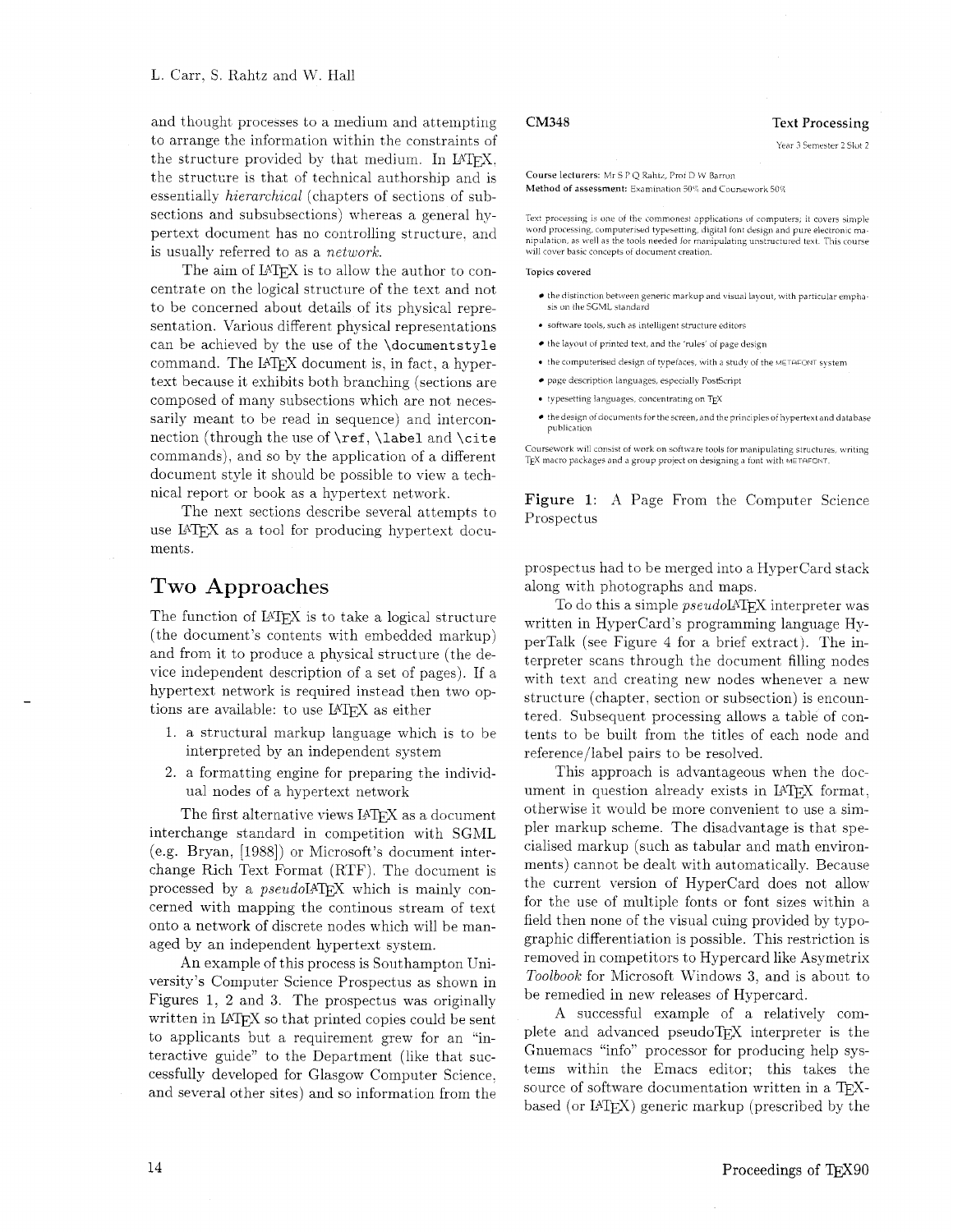and thought processes to a medium and attempting to arrange the information within the constraints of the structure provided by that medium. In LAT<sub>F</sub>X. the structure is that of technical authorship and is essentially hierarchical (chapters of sections of subsections and subsubsections) whereas a general hypertext document has no controlling structure. and is usually referred to as a network.

The aim of LAT<sub>F</sub>X is to allow the author to concentrate on the logical structure of the text and not to be concerned about details of its physical representation. Various different physical representations can be achieved by the use of the \document style command. The  $IATEX$  document is, in fact, a hypertext because it exhibits both branching (sections are composed of many subsections which are not necessarily meant to be read in sequence) and interconnection (through the use of \ref, **\label** and \cite commands), and so by the application of a different document style it should be possible to view a technical report or book as a hypertext network.

The next sections describe several attempts to use IATEX as a tool for producing hypertext documents.

## Two Approaches

The function of LAT<sub>F</sub>X is to take a logical structure (the document's contents with embedded markup) and from it to produce a physical structure (the device independent description of a set of pages). If a hypertext network is required instead then two options are available: to use LATFX as either

- 1. a structural markup language which is to be interpreted by an independent system
- 2. a formatting engine for preparing the individual nodes of a hypertext network

The first alternative views IATEX as a document interchange standard in competition with SGML (e.g. Bryan. [1988]) or Microsoft's document interchange Rich Text Format (RTF). The document is processed by a *pseudoL*<sup>4</sup>T<sub>E</sub>X which is mainly concerned with mapping the continous stream of text onto a network of discrete nodes which will be managed by an independent hypertext system.

An example of this process is Southampton University's Computer Science Prospectus as shown in Figures 1, 2 and **3.** The prospectus was originally written in  $IATFX$  so that printed copies could be sent to applicants but a requirement grew for an "interactive guide" to the Department (like that successfully developed for Glasgow Computer Science. and several other sites) and so information from the

Course lecturers: Mr S P Q Rahtz, Prof D W Barron

Method of assessment: Examination 50% and Coursework 50%

Text processing is one of the commonest applications of computers; it covers simple word processing, computerised typesetting, digital font design and pure electronic manipulation, as well as the tools needed for manipulating unstructured text. This course will cover basic concepts of document creation.

#### Topics covered

- $\bullet$  the distinction between generic markup and visual layout, with particular emphasis on the SGML standard
- $\bullet$  software tools, such as intelligent structure editors
- $\bullet$  the layout of printed text, and the 'rules' of page design
- the computerised design of typefaces, with a study of the METHFONT system
- $\bullet$  page description languages, especially PostScript
- $\bullet$  typesetting languages, concentrating on TEX
- the design of documents for the screen, and the principles of hypertext and database publication

Coursework will consist of work on software tools for manipulating structures, writing  $E^{X}$  macro packages and a group project on designing a font with METAFONT

Figure 1: A Page From the Computer Science Prospectus

prospectus had to be merged into a Hypercard stack along with photographs and maps.

To do this a simple *pseudoIATFX* interpreter was written in Hypercard's programming language HyperTalk (see Figure 4 for a brief extract). The interpreter scans through the document filling nodes with text and creating new nodes whenever a new structure (chapter, section or subsection) is encountered. Subsequent processing allows a table of contents to be built from the titles of each node and reference/label pairs to be resolved.

This approach is advantageous when the document in question already exists in LATFX format. otherwise it would be more convenient to use a simpler markup scheme. The disadvantage is that specialised markup (such as tabular and math environments) cannot be dealt with automatically. Because the current version of Hypercard does not allow for the use of multiple fonts or font sizes within a field then none of the visual cuing provided by typographic differentiation is possible. This restriction is removed in competitors to Hypercard like Asymetrix Toolbook for Microsoft Windows 3, and is about to be remedied in new releases of Hypercard.

A successful example of a relatively complete and advanced pseudoTFX interpreter is the Gnuemacs "info" processor for producing help systems within the Emacs editor; this takes the source of software documentation written in a TFXbased (or  $IATFX$ ) generic markup (prescribed by the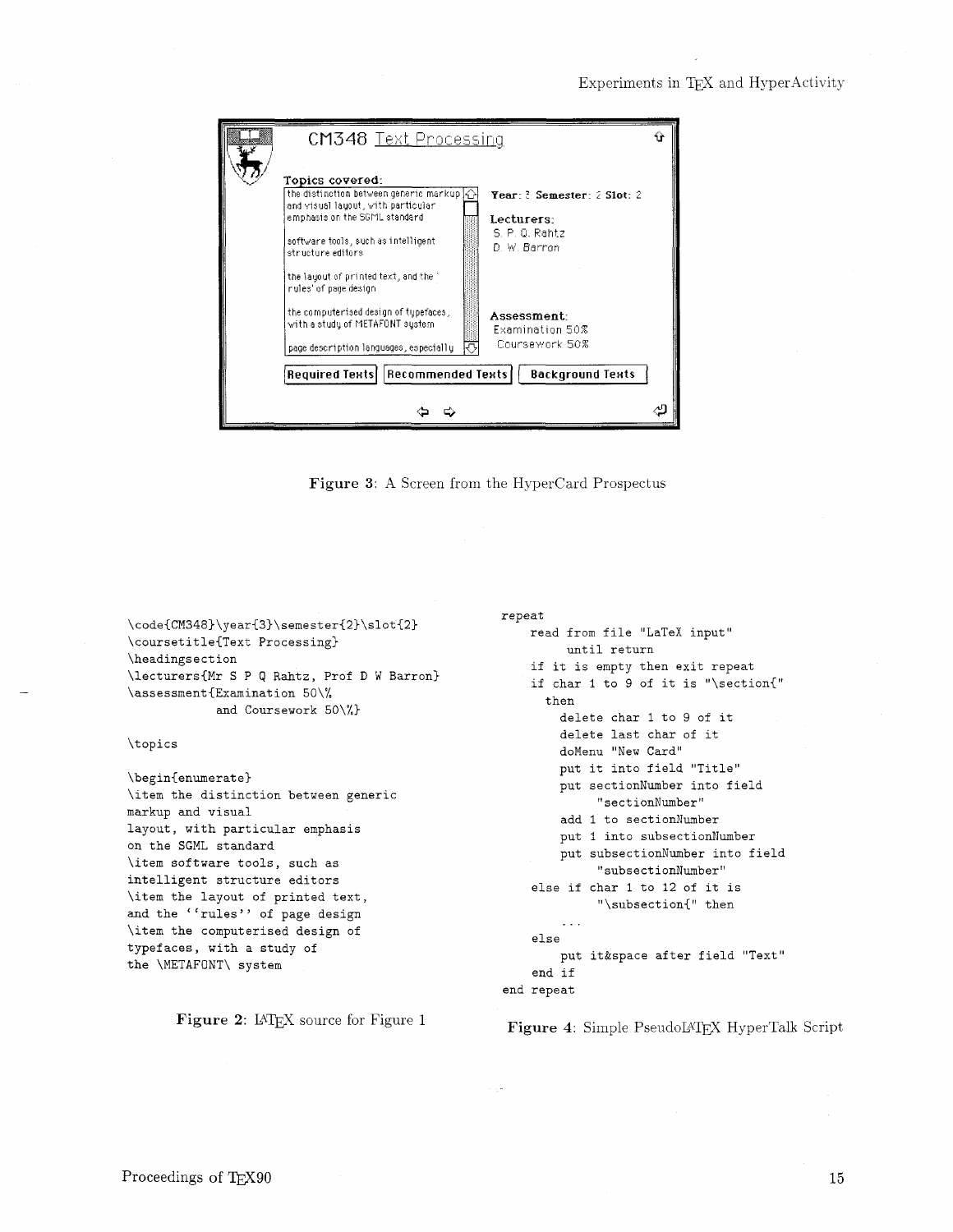

Figure 3: A Screen from the HyperCard Prospectus

\code{CM348}\year{3}\semester{2}\slot{2} \coursetitle{Text Processing} \headingsection \lecturers{Mr S P Q Rahtz, Prof D W Barron} \assessment{Examination 50\% and Coursework 50\%}

\topics

\begin{enumerate} \item the distinction between generic markup and visual layout, with particular emphasis on the SGML standard \item software tools, such as intelligent structure editors \item the layout of printed text, and the ''rules'' of page design \item the computerised design of typefaces, with a study of the \METAFONT\ system

Figure 2: IATEX source for Figure 1

repeat read from file "LaTeX input" until return if it is empty then exit repeat if char 1 to 9 of it is "\section{" then delete char 1 to 9 of it delete last char of it doMenu "New Card" put it into field "Title" put sectionNumber into field "sectionNumber" add 1 to sectionNumber put 1 into subsectionNumber put subsectionNumber into field "subsectionNumber" else if char 1 to 12 of it is "\subsection{" then  $\sim 10$  . else put it&space after field "Text" end if

end repeat

Figure 4: Simple PseudoLATEX HyperTalk Script

15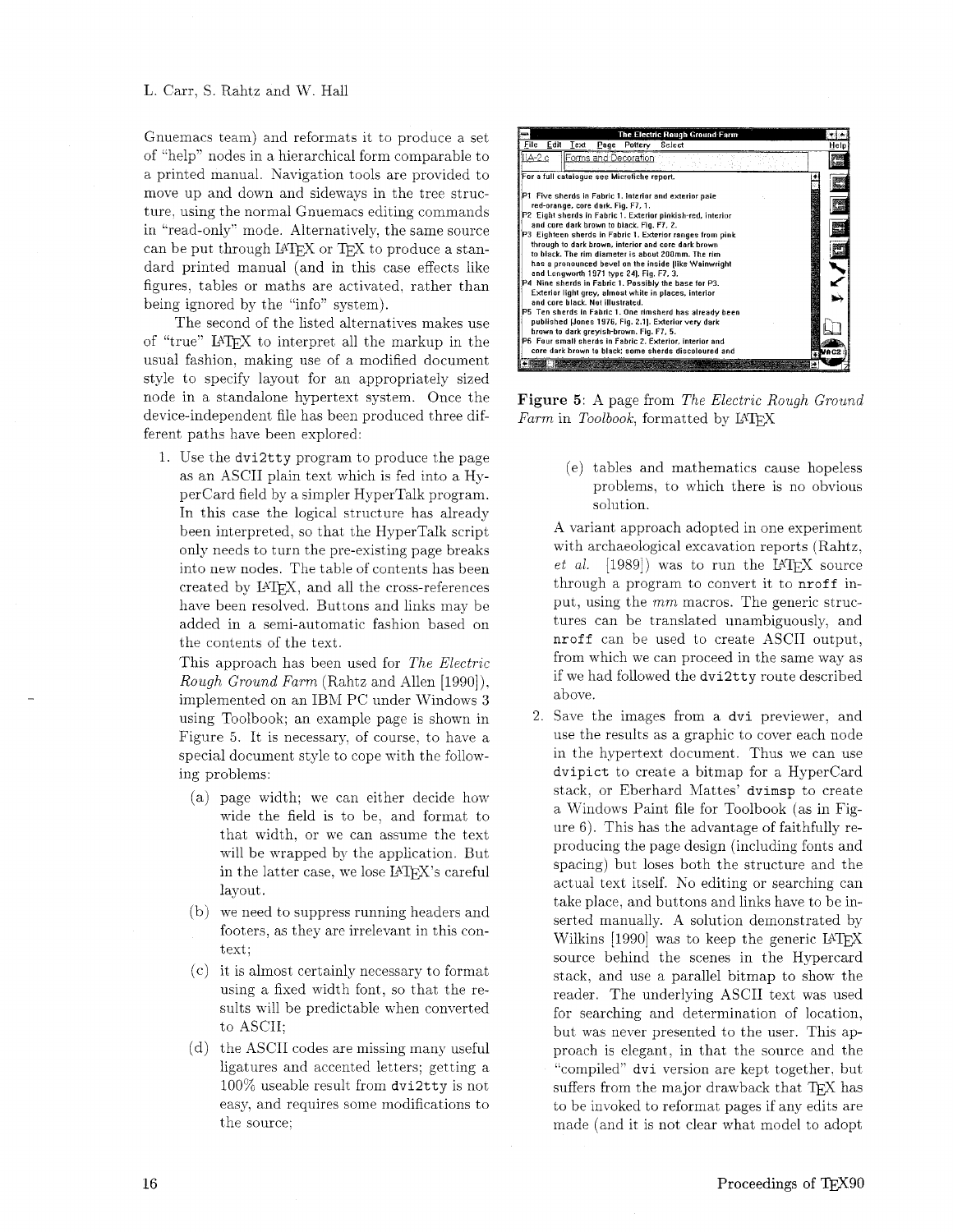Gnuemacs team) and reformats it to produce a set of "help" nodes in a hierarchical form comparable to a printed manual. Diavigation tools are provided to move up and down and sideways in the tree structure, using the normal Gnuemacs editing commands in "read-only" mode. Alternatively. the same source can be put through LATEX or TEX to produce a standard printed manual (and in this case effects like figures, tables or maths are activated, rather than being ignored by the "info" system).

The second of the listed alternatives makes use of "true" LAT<sub>F</sub>X to interpret all the markup in the usual fashion. making use of a modified document style to specify layout for an appropriately sized node in a standalone hypertext system. Once the device-independent file has been produced three different paths have been explored:

1. Use the dvi2tty program to produce the page as an ASCII plain text which is fed into a Hypercard field by a simpler HyperTalk program. In this case the logical structure has already been interpreted, so that the HyperTalk script only needs to turn the pre-existing page breaks into new nodes. The table of contents has been created by LATEX, and all the cross-references have been resolved. Buttons and links may be added in a semi-automatic fashion based on the contents of the text.

This approach has been used for *The Electric Rough Ground Farm* (Rahtz and Allen [1990]). implemented on an IBhI PC under Windows **3**  using Toolbook; an example page is shown in Figure 5. It is necessary, of course, to have a special document style to cope with the following problems:

- page width: we can either decide how wide the field is to be, and format to that width, or we can assume the text will be wrapped by the application. But in the latter case, we lose LATFX's careful layout.
- (b) we need to suppress running headers and footers, as they are irrelevant in this context;
- $(c)$  it is almost certainly necessary to format using a fixed width font, so that the results will be predictable when converted to ASCII;
- $(d)$  the ASCII codes are missing many useful ligatures and accented letters; getting a 100% useable result from dvi2tty is not easy, and requires some modifications to the source:



Figure 5: A page from *The Electric Rough Ground Farm* in *Toolbook*, formatted by LATFX

(e) tables and mathematics cause hopeless problems, to which there is no obvious solution.

A variant approach adopted in one experiment with archaeological excavation reports (Rahtz. *et al.* [1989]) was to run the LATEX source through a program to convert it to nroff input, using the *mm* macros. The generic structures can be translated unambiguously, and nroff can be used to create ASCII output, from which we can proceed in the same way as if we had followed the dvi2tty route described above.

2. Save the images from a dvi previewer, and use the results as a graphic to cover each node in the hypertext document. Thus we can use dvipict to create a bitmap for a HyperCard stack. or Eberhard Mattes' dvimsp to create a Windows Paint file for Toolbook (as in Figure  $6$ ). This has the advantage of faithfully reproducing the page design (including fonts and spacing) but loses both the structure and the actual text itself. KO editing or searching can take place, and buttons and links have to be inserted manually. A solution demonstrated by Wilkins  $[1990]$  was to keep the generic LAT<sub>E</sub>X source behind the scenes in the Hypercard stack, and use a parallel bitmap to show the reader. The underlying ASCII text was used for searching and determination of location, but was never presented to the user. This approach is elegant, in that the source and the "compiled" dvi version are kept together, but suffers from the major drawback that TEX has to be invoked to reformat pages if any edits are made (and it is not clear what model to adopt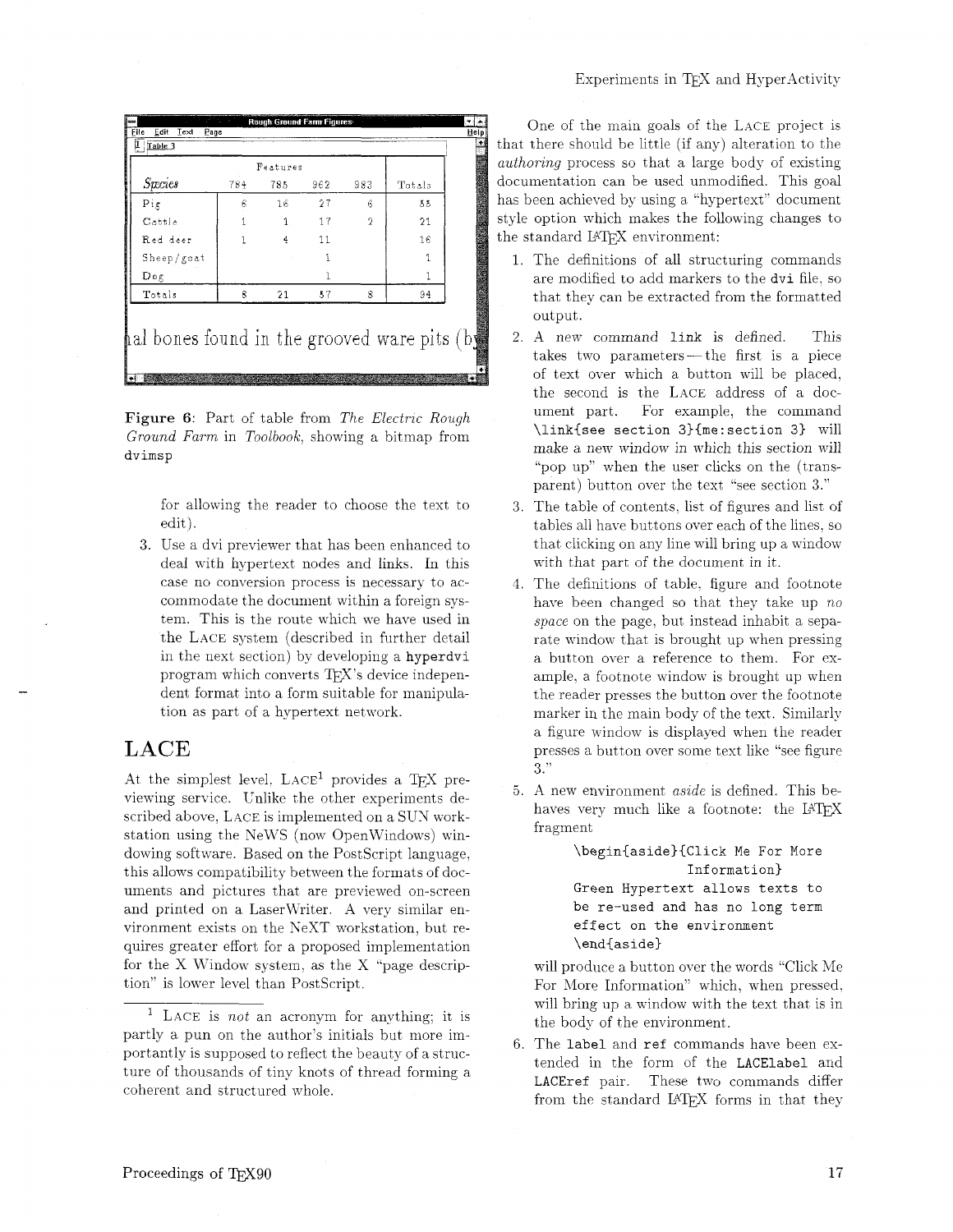| <b>Species</b> | 784 | Features<br>785 | 962. | 983 | Totals |
|----------------|-----|-----------------|------|-----|--------|
| $P_{1g}$       | 6   | 16              | 27   | 6   | Kδ     |
| Cattle         | 1   | 1               | 17   | 2   | 21     |
| Red deer       | 1   | 4               | 11   |     | 16     |
| Sheep/gcat     |     |                 | 1    |     | 1      |
| Dog            |     |                 |      |     |        |
| Totals         | 8   | 21              | 57   | 8   | 94     |

Figure 6: Part of table from The Electric Rough *Ground Farm* in *Toolbook,* showing a bitmap from dvimsp

> for allowing the reader to choose the text to edit).

Use a dvi previewer that has been enhanced to deal with hypertext nodes and links. In this case no conversion process is necessary to accommodate the document within a foreign system. This is the route which we have used in the LACE system (described in further detail in the next section) by developing a hyperdvi program which converts  $T\not\vdash X$ 's device independent format into a form suitable for manipulation as part of a hypertext network.

## **LACE**

At the simplest level,  $LACE<sup>1</sup>$  provides a TEX previewing service. Unlike the other experiments described above, LACE is implemented on a SUN workstation using the NeWS (now OpenWindows) windowing software. Based on the PostScript language, this allows compatibility between the formats of documents and pictures that are previewed on-screen and printed on a Laserwriter. A very similar environment exists on the NeXT workstation, but requires greater effort for a proposed implementation for the X Window system, as the X "page description" is lower level than PostScript.

One of the main goals of the LACE project is that there should be little (if any) alteration to the *authoring* process so that a large body of existing documentation can be used unmodified. This goal has been achieved by using a "hypertext" document style option which makes the following changes to the standard LATFX environment:

- 1. The definitions of all structuring commands are modified to add markers to the dvi file, so that they can be extracted from the formatted output.
- A new command link is defined. This takes two parameters—the first is a piece of text over which a button will be placed. the second is the LACE address of a document part. For example, the command \llnk{see section 3){me:sectlon 3) will make a new window in which this section will "pop up'' when the user clicks on the (transparent) button over the text ''see section **3."**
- 3. The table of contents, list of figures and list of tables all have buttons over each of the lines. so that clicking on any line will bring up a window with that part of the document in it.
- The definitions of table. figure and footnote have been changed so that they take up *no space* on the page. but instead inhabit a separate window that is brought up when pressing a button over a reference to them. For example, a footnote window is brought up when the reader presses the button over the footnote marker in the main body of the text. Similarly a figure window is displayed when the reader presses a button over some text like "see figure **3:'**
- A new environment *aszde* is defined. This behaves very much like a footnote: the  $IATFX$ fragment

\begin{aside}{Click Me For More Information) Green Hypertext allows texts to be re-used and has no long term effect on the environment \end{aside)

will produce a button over the words "Click Me For More Information" which, when pressed. will bring up a window with the text that is in the body of the environment.

The label and ref commands have been extended in the form of the LACElabel and LACEref pair. These two commands differ from the standard LATEX forms in that they

<sup>&</sup>lt;sup>1</sup> LACE is *not* an acronym for anything; it is partly a pun on the author's initials but more importantly is supposed to reflect the beauty of a structure of thousands of tiny knots of thread forming a coherent and structured whole.